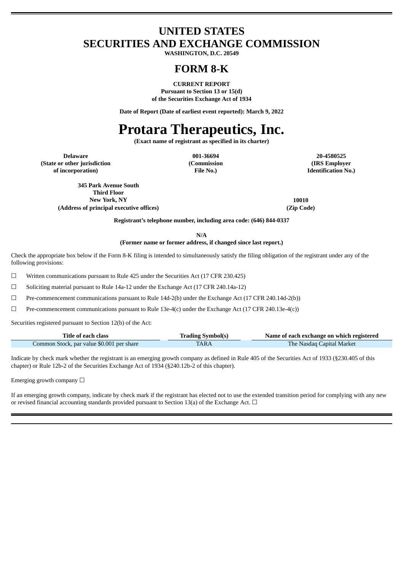# **UNITED STATES SECURITIES AND EXCHANGE COMMISSION**

**WASHINGTON, D.C. 20549**

# **FORM 8-K**

**CURRENT REPORT Pursuant to Section 13 or 15(d) of the Securities Exchange Act of 1934**

**Date of Report (Date of earliest event reported): March 9, 2022**

# **Protara Therapeutics, Inc.**

**(Exact name of registrant as specified in its charter)**

**Delaware 001-36694 20-4580525 (State or other jurisdiction of incorporation)**

**(Commission File No.)**

**(IRS Employer Identification No.)**

**345 Park Avenue South Third Floor New York, NY 10010 (Address of principal executive offices) (Zip Code)**

**Registrant's telephone number, including area code: (646) 844-0337**

**N/A**

**(Former name or former address, if changed since last report.)**

Check the appropriate box below if the Form 8-K filing is intended to simultaneously satisfy the filing obligation of the registrant under any of the following provisions:

☐ Written communications pursuant to Rule 425 under the Securities Act (17 CFR 230.425)

☐ Soliciting material pursuant to Rule 14a-12 under the Exchange Act (17 CFR 240.14a-12)

☐ Pre-commencement communications pursuant to Rule 14d-2(b) under the Exchange Act (17 CFR 240.14d-2(b))

☐ Pre-commencement communications pursuant to Rule 13e-4(c) under the Exchange Act (17 CFR 240.13e-4(c))

Securities registered pursuant to Section 12(b) of the Act:

| Title of each class                       | <b>Trading Symbol(s)</b> | Name of each exchange on which registered |
|-------------------------------------------|--------------------------|-------------------------------------------|
| Common Stock, par value \$0.001 per share | <b>TARA</b>              | <b>The Nasdaq Capital Market</b>          |

Indicate by check mark whether the registrant is an emerging growth company as defined in Rule 405 of the Securities Act of 1933 (§230.405 of this chapter) or Rule 12b-2 of the Securities Exchange Act of 1934 (§240.12b-2 of this chapter).

Emerging growth company  $\Box$ 

If an emerging growth company, indicate by check mark if the registrant has elected not to use the extended transition period for complying with any new or revised financial accounting standards provided pursuant to Section 13(a) of the Exchange Act.  $\Box$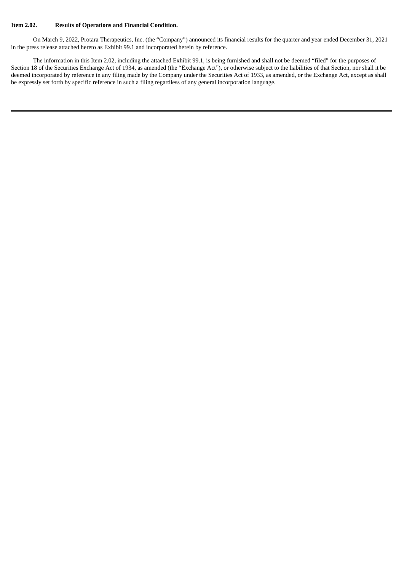#### **Item 2.02. Results of Operations and Financial Condition.**

On March 9, 2022, Protara Therapeutics, Inc. (the "Company") announced its financial results for the quarter and year ended December 31, 2021 in the press release attached hereto as Exhibit 99.1 and incorporated herein by reference.

The information in this Item 2.02, including the attached Exhibit 99.1, is being furnished and shall not be deemed "filed" for the purposes of Section 18 of the Securities Exchange Act of 1934, as amended (the "Exchange Act"), or otherwise subject to the liabilities of that Section, nor shall it be deemed incorporated by reference in any filing made by the Company under the Securities Act of 1933, as amended, or the Exchange Act, except as shall be expressly set forth by specific reference in such a filing regardless of any general incorporation language.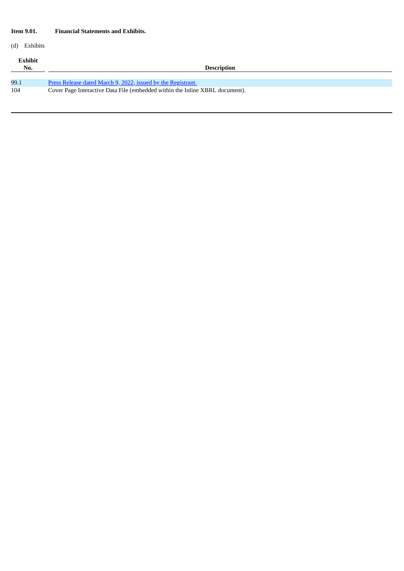## **Item 9.01. Financial Statements and Exhibits.**

# (d) Exhibits

| Exhibit<br>No. | <b>Description</b>                                                           |
|----------------|------------------------------------------------------------------------------|
| 99.1           | <u>Press Release dated March 9, 2022, issued by the Registrant.</u>          |
| 104            | Cover Page Interactive Data File (embedded within the Inline XBRL document). |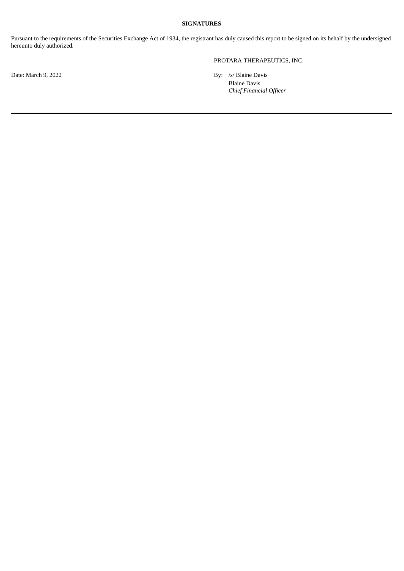#### **SIGNATURES**

Pursuant to the requirements of the Securities Exchange Act of 1934, the registrant has duly caused this report to be signed on its behalf by the undersigned hereunto duly authorized.

# PROTARA THERAPEUTICS, INC.

Date: March 9, 2022 By: /s/ Blaine Davis

Blaine Davis *Chief Financial Officer*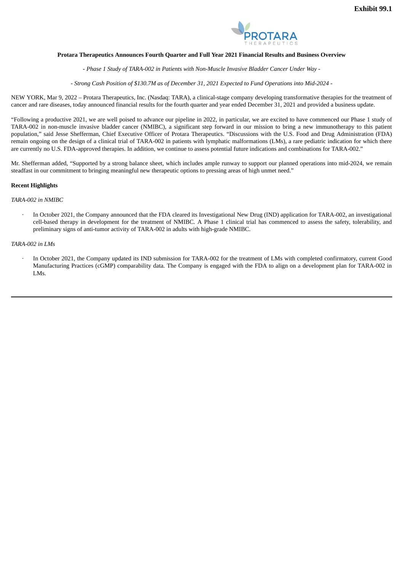

#### <span id="page-4-0"></span>**Protara Therapeutics Announces Fourth Quarter and Full Year 2021 Financial Results and Business Overview**

*- Phase 1 Study of TARA-002 in Patients with Non-Muscle Invasive Bladder Cancer Under Way -*

- Strong Cash Position of \$130.7M as of December 31, 2021 Expected to Fund Operations into Mid-2024 -

NEW YORK, Mar 9, 2022 – Protara Therapeutics, Inc. (Nasdaq: TARA), a clinical-stage company developing transformative therapies for the treatment of cancer and rare diseases, today announced financial results for the fourth quarter and year ended December 31, 2021 and provided a business update.

"Following a productive 2021, we are well poised to advance our pipeline in 2022, in particular, we are excited to have commenced our Phase 1 study of TARA-002 in non-muscle invasive bladder cancer (NMIBC), a significant step forward in our mission to bring a new immunotherapy to this patient population," said Jesse Shefferman, Chief Executive Officer of Protara Therapeutics. "Discussions with the U.S. Food and Drug Administration (FDA) remain ongoing on the design of a clinical trial of TARA-002 in patients with lymphatic malformations (LMs), a rare pediatric indication for which there are currently no U.S. FDA-approved therapies. In addition, we continue to assess potential future indications and combinations for TARA-002."

Mr. Shefferman added, "Supported by a strong balance sheet, which includes ample runway to support our planned operations into mid-2024, we remain steadfast in our commitment to bringing meaningful new therapeutic options to pressing areas of high unmet need."

#### **Recent Highlights**

#### *TARA-002 in NMIBC*

· In October 2021, the Company announced that the FDA cleared its Investigational New Drug (IND) application for TARA-002, an investigational cell-based therapy in development for the treatment of NMIBC. A Phase 1 clinical trial has commenced to assess the safety, tolerability, and preliminary signs of anti-tumor activity of TARA-002 in adults with high-grade NMIBC.

#### *TARA-002 in LMs*

In October 2021, the Company updated its IND submission for TARA-002 for the treatment of LMs with completed confirmatory, current Good Manufacturing Practices (cGMP) comparability data. The Company is engaged with the FDA to align on a development plan for TARA-002 in LMs.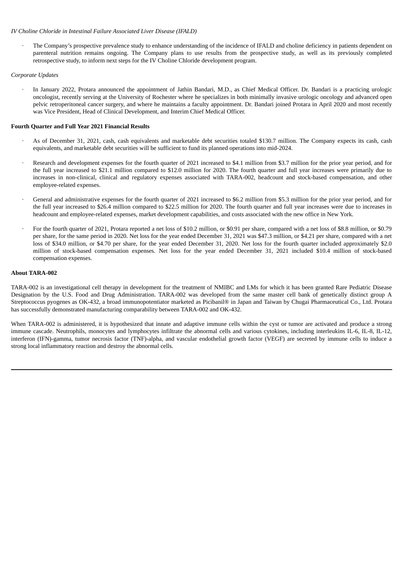#### *IV Choline Chloride in Intestinal Failure Associated Liver Disease (IFALD)*

· The Company's prospective prevalence study to enhance understanding of the incidence of IFALD and choline deficiency in patients dependent on parenteral nutrition remains ongoing. The Company plans to use results from the prospective study, as well as its previously completed retrospective study, to inform next steps for the IV Choline Chloride development program.

#### *Corporate Updates*

· In January 2022, Protara announced the appointment of Jathin Bandari, M.D., as Chief Medical Officer. Dr. Bandari is a practicing urologic oncologist, recently serving at the University of Rochester where he specializes in both minimally invasive urologic oncology and advanced open pelvic retroperitoneal cancer surgery, and where he maintains a faculty appointment. Dr. Bandari joined Protara in April 2020 and most recently was Vice President, Head of Clinical Development, and Interim Chief Medical Officer.

#### **Fourth Quarter and Full Year 2021 Financial Results**

- As of December 31, 2021, cash, cash equivalents and marketable debt securities totaled \$130.7 million. The Company expects its cash, cash equivalents, and marketable debt securities will be sufficient to fund its planned operations into mid-2024.
- Research and development expenses for the fourth quarter of 2021 increased to \$4.1 million from \$3.7 million for the prior year period, and for the full year increased to \$21.1 million compared to \$12.0 million for 2020. The fourth quarter and full year increases were primarily due to increases in non-clinical, clinical and regulatory expenses associated with TARA-002, headcount and stock-based compensation, and other employee-related expenses.
- General and administrative expenses for the fourth quarter of 2021 increased to \$6.2 million from \$5.3 million for the prior year period, and for the full year increased to \$26.4 million compared to \$22.5 million for 2020. The fourth quarter and full year increases were due to increases in headcount and employee-related expenses, market development capabilities, and costs associated with the new office in New York.
- For the fourth quarter of 2021, Protara reported a net loss of \$10.2 million, or \$0.91 per share, compared with a net loss of \$8.8 million, or \$0.79 per share, for the same period in 2020. Net loss for the year ended December 31, 2021 was \$47.3 million, or \$4.21 per share, compared with a net loss of \$34.0 million, or \$4.70 per share, for the year ended December 31, 2020. Net loss for the fourth quarter included approximately \$2.0 million of stock-based compensation expenses. Net loss for the year ended December 31, 2021 included \$10.4 million of stock-based compensation expenses.

#### **About TARA-002**

TARA-002 is an investigational cell therapy in development for the treatment of NMIBC and LMs for which it has been granted Rare Pediatric Disease Designation by the U.S. Food and Drug Administration. TARA-002 was developed from the same master cell bank of genetically distinct group A Streptococcus pyogenes as OK-432, a broad immunopotentiator marketed as Picibanil® in Japan and Taiwan by Chugai Pharmaceutical Co., Ltd. Protara has successfully demonstrated manufacturing comparability between TARA-002 and OK-432.

When TARA-002 is administered, it is hypothesized that innate and adaptive immune cells within the cyst or tumor are activated and produce a strong immune cascade. Neutrophils, monocytes and lymphocytes infiltrate the abnormal cells and various cytokines, including interleukins IL-6, IL-8, IL-12, interferon (IFN)-gamma, tumor necrosis factor (TNF)-alpha, and vascular endothelial growth factor (VEGF) are secreted by immune cells to induce a strong local inflammatory reaction and destroy the abnormal cells.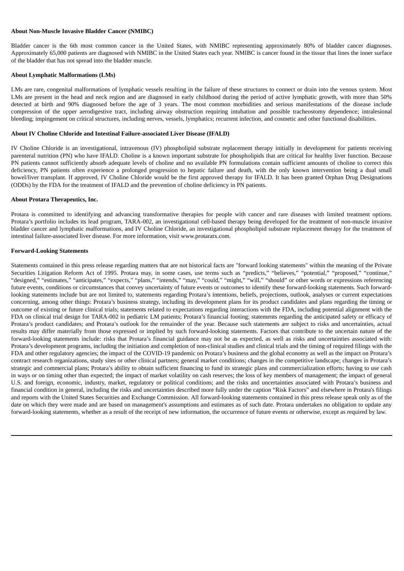#### **About Non-Muscle Invasive Bladder Cancer (NMIBC)**

Bladder cancer is the 6th most common cancer in the United States, with NMIBC representing approximately 80% of bladder cancer diagnoses. Approximately 65,000 patients are diagnosed with NMIBC in the United States each year. NMIBC is cancer found in the tissue that lines the inner surface of the bladder that has not spread into the bladder muscle.

#### **About Lymphatic Malformations (LMs)**

LMs are rare, congenital malformations of lymphatic vessels resulting in the failure of these structures to connect or drain into the venous system. Most LMs are present in the head and neck region and are diagnosed in early childhood during the period of active lymphatic growth, with more than 50% detected at birth and 90% diagnosed before the age of 3 years. The most common morbidities and serious manifestations of the disease include compression of the upper aerodigestive tract, including airway obstruction requiring intubation and possible tracheostomy dependence; intralesional bleeding; impingement on critical structures, including nerves, vessels, lymphatics; recurrent infection, and cosmetic and other functional disabilities.

#### **About IV Choline Chloride and Intestinal Failure-associated Liver Disease (IFALD)**

IV Choline Chloride is an investigational, intravenous (IV) phospholipid substrate replacement therapy initially in development for patients receiving parenteral nutrition (PN) who have IFALD. Choline is a known important substrate for phospholipids that are critical for healthy liver function. Because PN patients cannot sufficiently absorb adequate levels of choline and no available PN formulations contain sufficient amounts of choline to correct this deficiency, PN patients often experience a prolonged progression to hepatic failure and death, with the only known intervention being a dual small bowel/liver transplant. If approved, IV Choline Chloride would be the first approved therapy for IFALD. It has been granted Orphan Drug Designations (ODDs) by the FDA for the treatment of IFALD and the prevention of choline deficiency in PN patients.

#### **About Protara Therapeutics, Inc.**

Protara is committed to identifying and advancing transformative therapies for people with cancer and rare diseases with limited treatment options. Protara's portfolio includes its lead program, TARA-002, an investigational cell-based therapy being developed for the treatment of non-muscle invasive bladder cancer and lymphatic malformations, and IV Choline Chloride, an investigational phospholipid substrate replacement therapy for the treatment of intestinal failure-associated liver disease. For more information, visit www.protaratx.com.

#### **Forward-Looking Statements**

Statements contained in this press release regarding matters that are not historical facts are "forward looking statements" within the meaning of the Private Securities Litigation Reform Act of 1995. Protara may, in some cases, use terms such as "predicts," "believes," "potential," "proposed," "continue," "designed," "estimates," "anticipates," "expects," "plans," "intends," "may," "could," "might," "will," "should" or other words or expressions referencing future events, conditions or circumstances that convey uncertainty of future events or outcomes to identify these forward-looking statements. Such forwardlooking statements include but are not limited to, statements regarding Protara's intentions, beliefs, projections, outlook, analyses or current expectations concerning, among other things: Protara's business strategy, including its development plans for its product candidates and plans regarding the timing or outcome of existing or future clinical trials; statements related to expectations regarding interactions with the FDA, including potential alignment with the FDA on clinical trial design for TARA-002 in pediatric LM patients; Protara's financial footing; statements regarding the anticipated safety or efficacy of Protara's product candidates; and Protara's outlook for the remainder of the year. Because such statements are subject to risks and uncertainties, actual results may differ materially from those expressed or implied by such forward-looking statements. Factors that contribute to the uncertain nature of the forward-looking statements include: risks that Protara's financial guidance may not be as expected, as well as risks and uncertainties associated with: Protara's development programs, including the initiation and completion of non-clinical studies and clinical trials and the timing of required filings with the FDA and other regulatory agencies; the impact of the COVID-19 pandemic on Protara's business and the global economy as well as the impact on Protara's contract research organizations, study sites or other clinical partners; general market conditions; changes in the competitive landscape; changes in Protara's strategic and commercial plans; Protara's ability to obtain sufficient financing to fund its strategic plans and commercialization efforts; having to use cash in ways or on timing other than expected; the impact of market volatility on cash reserves; the loss of key members of management; the impact of general U.S. and foreign, economic, industry, market, regulatory or political conditions; and the risks and uncertainties associated with Protara's business and financial condition in general, including the risks and uncertainties described more fully under the caption "Risk Factors" and elsewhere in Protara's filings and reports with the United States Securities and Exchange Commission. All forward-looking statements contained in this press release speak only as of the date on which they were made and are based on management's assumptions and estimates as of such date. Protara undertakes no obligation to update any forward-looking statements, whether as a result of the receipt of new information, the occurrence of future events or otherwise, except as required by law.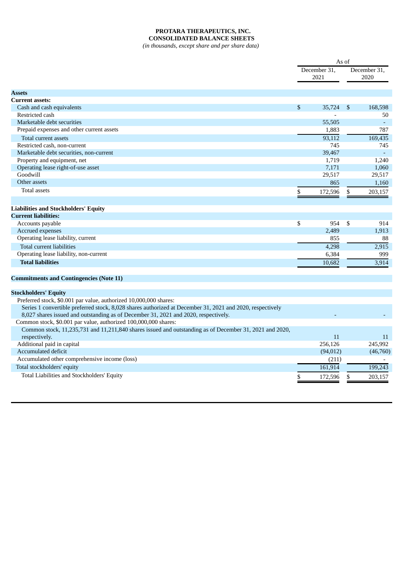## **PROTARA THERAPEUTICS, INC. CONSOLIDATED BALANCE SHEETS**

*(in thousands, except share and per share data)*

| <b>Assets</b>                                                                                             | \$<br>December 31,<br>2021 |              | December 31,<br>2020 |
|-----------------------------------------------------------------------------------------------------------|----------------------------|--------------|----------------------|
|                                                                                                           |                            |              |                      |
|                                                                                                           |                            |              |                      |
|                                                                                                           |                            |              |                      |
| <b>Current assets:</b>                                                                                    |                            |              |                      |
| Cash and cash equivalents                                                                                 | 35.724                     | $\mathbb{S}$ | 168,598              |
| Restricted cash                                                                                           |                            |              | 50                   |
| Marketable debt securities                                                                                | 55,505                     |              | $\sim$               |
| Prepaid expenses and other current assets                                                                 | 1,883                      |              | 787                  |
| Total current assets                                                                                      | 93,112                     |              | 169,435              |
| Restricted cash, non-current                                                                              | 745                        |              | 745                  |
| Marketable debt securities, non-current                                                                   | 39,467                     |              | $\omega$             |
| Property and equipment, net                                                                               | 1,719                      |              | 1,240                |
| Operating lease right-of-use asset                                                                        | 7,171                      |              | 1,060                |
| Goodwill                                                                                                  | 29,517                     |              | 29,517               |
| Other assets                                                                                              | 865                        |              | 1.160                |
| <b>Total assets</b>                                                                                       | \$<br>172,596              | \$           | 203,157              |
|                                                                                                           |                            |              |                      |
| <b>Liabilities and Stockholders' Equity</b>                                                               |                            |              |                      |
| <b>Current liabilities:</b>                                                                               |                            |              |                      |
| Accounts payable                                                                                          | \$<br>954                  | \$           | 914                  |
| Accrued expenses                                                                                          | 2,489                      |              | 1,913                |
| Operating lease liability, current                                                                        | 855                        |              | 88                   |
| <b>Total current liabilities</b>                                                                          | 4,298                      |              | 2,915                |
| Operating lease liability, non-current                                                                    | 6,384                      |              | 999                  |
| <b>Total liabilities</b>                                                                                  | 10.682                     |              | 3.914                |
|                                                                                                           |                            |              |                      |
| <b>Commitments and Contingencies (Note 11)</b>                                                            |                            |              |                      |
| <b>Stockholders' Equity</b>                                                                               |                            |              |                      |
| Preferred stock, \$0.001 par value, authorized 10,000,000 shares:                                         |                            |              |                      |
| Series 1 convertible preferred stock, 8,028 shares authorized at December 31, 2021 and 2020, respectively |                            |              |                      |
| 8,027 shares issued and outstanding as of December 31, 2021 and 2020, respectively.                       |                            |              |                      |
| Common stock, \$0.001 par value, authorized 100,000,000 shares:                                           |                            |              |                      |
| Common stock, 11,235,731 and 11,211,840 shares issued and outstanding as of December 31, 2021 and 2020,   |                            |              |                      |
| respectively.                                                                                             | 11                         |              | 11                   |
| Additional paid in capital                                                                                | 256,126                    |              | 245,992              |
| Accumulated deficit                                                                                       | (94, 012)                  |              | (46,760)             |
| Accumulated other comprehensive income (loss)                                                             | (211)                      |              |                      |
| Total stockholders' equity                                                                                | 161,914                    |              | 199,243              |
| Total Liabilities and Stockholders' Equity                                                                | \$<br>172,596              | \$           | 203,157              |
|                                                                                                           |                            |              |                      |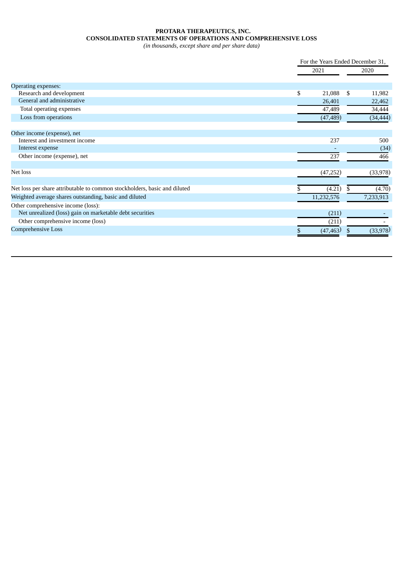# **PROTARA THERAPEUTICS, INC. CONSOLIDATED STATEMENTS OF OPERATIONS AND COMPREHENSIVE LOSS**

*(in thousands, except share and per share data)*

|                                                                           | For the Years Ended December 31, |    |           |  |
|---------------------------------------------------------------------------|----------------------------------|----|-----------|--|
|                                                                           | 2021                             |    | 2020      |  |
| <b>Operating expenses:</b>                                                |                                  |    |           |  |
| Research and development                                                  | \$<br>21,088                     | \$ | 11,982    |  |
| General and administrative                                                | 26,401                           |    | 22,462    |  |
| Total operating expenses                                                  | 47,489                           |    | 34,444    |  |
| Loss from operations                                                      | (47, 489)                        |    | (34, 444) |  |
| Other income (expense), net                                               |                                  |    |           |  |
| Interest and investment income                                            | 237                              |    | 500       |  |
| Interest expense                                                          |                                  |    | (34)      |  |
| Other income (expense), net                                               | 237                              |    | 466       |  |
| Net loss                                                                  | (47, 252)                        |    | (33, 978) |  |
|                                                                           |                                  |    |           |  |
| Net loss per share attributable to common stockholders, basic and diluted | (4.21)                           |    | (4.70)    |  |
| Weighted average shares outstanding, basic and diluted                    | 11,232,576                       |    | 7,233,913 |  |
| Other comprehensive income (loss):                                        |                                  |    |           |  |
| Net unrealized (loss) gain on marketable debt securities                  | (211)                            |    |           |  |
| Other comprehensive income (loss)                                         | (211)                            |    |           |  |
| <b>Comprehensive Loss</b>                                                 | (47, 463)                        |    | (33,978)  |  |